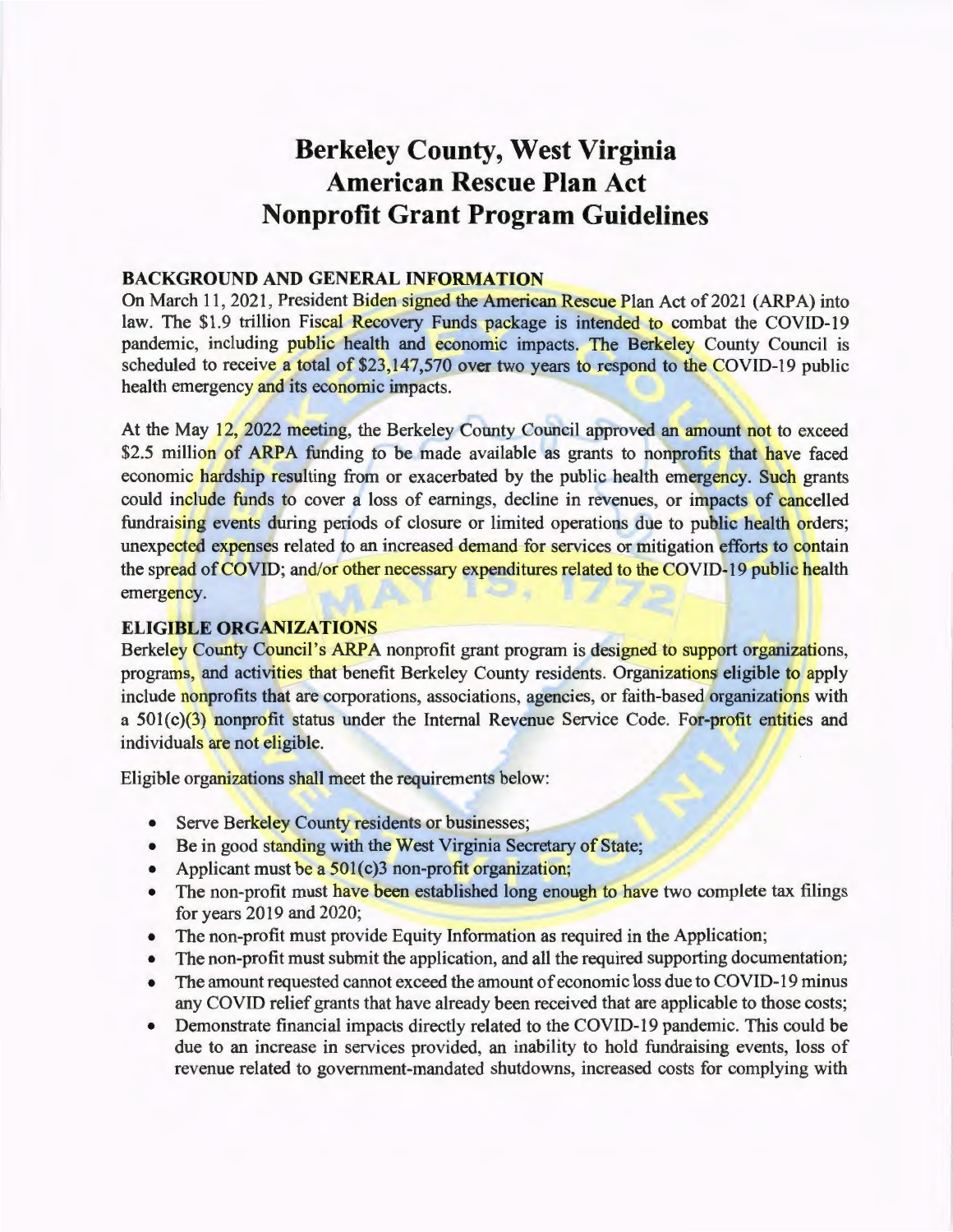# **Berkeley County, West Virginia American Rescue Plan Act Nonprofit Grant Program Guidelines**

#### **BACKGROUND AND GENERAL INFORMATION**

On March 11, 2021, President Biden signed the American Rescue Plan Act of 2021 (ARPA) into law. The \$1.9 trillion Fiscal Recovery Funds package is intended to combat the COVID-19 pandemic, including public health and economic impacts. The Berkeley County Council is scheduled to receive a total of \$23,147,570 over two years to respond to the COVID-19 public health emergency and its economic impacts.

At the May 12, 2022 meeting, the Berkeley County Council approved an amount not to exceed \$2.5 million of ARPA funding to be made available as grants to nonprofits that have faced economic hardship resulting from or exacerbated by the public health emergency. Such grants could include funds to cover a loss of earnings, decline in revenues, or impacts of cancelled fundraising events during periods of closure or limited operations due to public health orders; unexpected expenses related to an increased demand for services or mitigation efforts to contain the spread of COVID; and/or other necessary expenditures related to the COVID-19 public health  $21.$ emergency.

### **ELIGIBLE ORGANIZATIONS**

Berkeley County Council's ARPA nonprofit grant program is designed to support organizations, programs, and activities that benefit Berkeley County residents. Organizations eligible to apply include nonprofits that are corporations, associations, agencies, or faith-based organizations with a  $501(c)(3)$  nonprofit status under the Internal Revenue Service Code. For-profit entities and individuals are not eligible.

Eligible organizations shall meet the requirements below:

- Serve Berkeley County residents or businesses;
- Be in good standing with the West Virginia Secretary of State;
- Applicant must be a 501(c)3 non-profit organization;
- The non-profit must have been established long enough to have two complete tax filings for years 2019 and 2020;
- The non-profit must provide Equity Information as required in the Application;
- The non-profit must submit the application, and all the required supporting documentation;
- The amount requested cannot exceed the amount of economic loss due to COVID-19 minus any COVID relief grants that have already been received that are applicable to those costs;
- Demonstrate financial impacts directly related to the COVID-19 pandemic. This could be due to an increase in services provided, an inability to hold fundraising events, loss of revenue related to government-mandated shutdowns, increased costs for complying with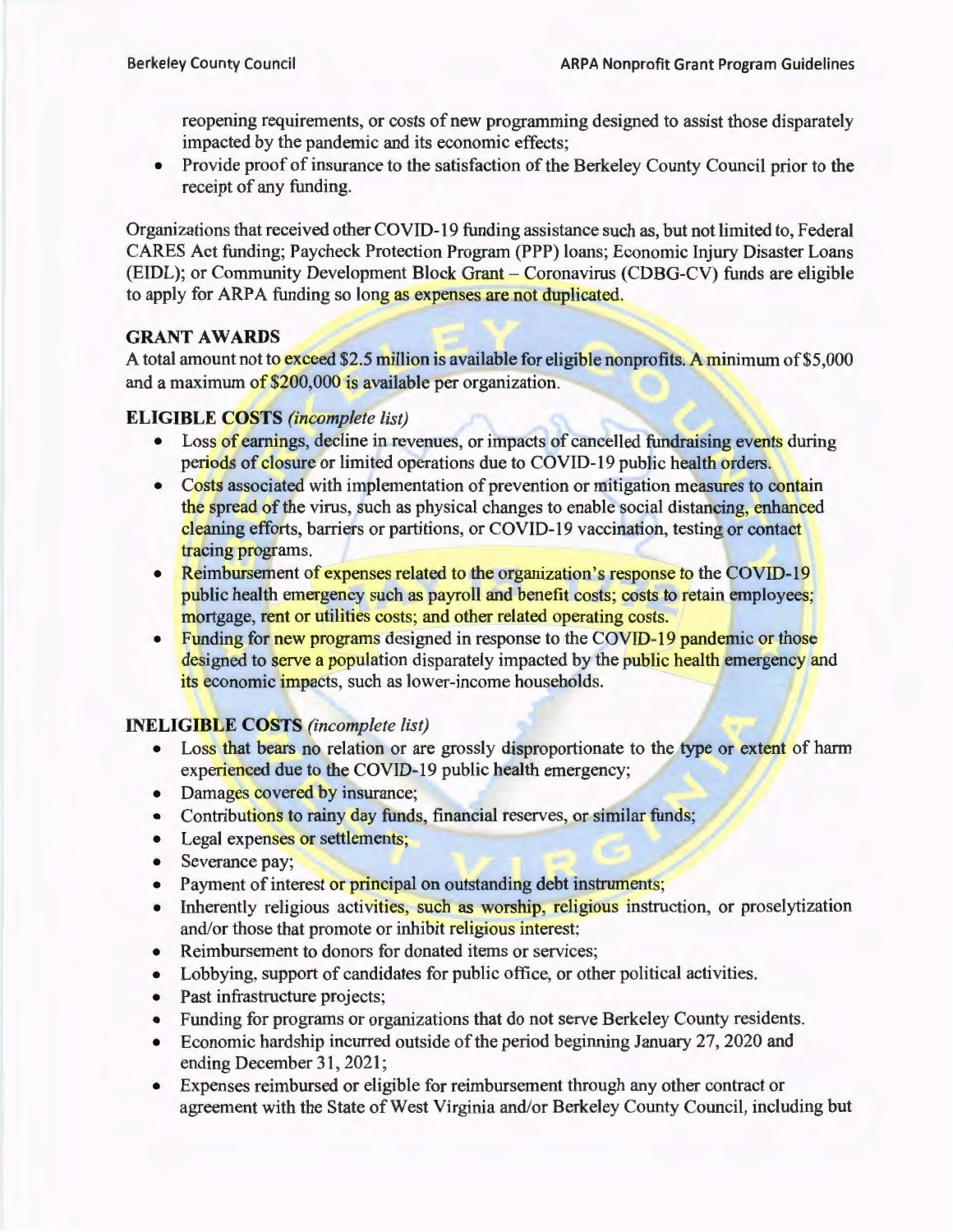reopening requirements, or costs of new programming designed to assist those disparately impacted by the pandemic and its economic effects;

• Provide proof of insurance to the satisfaction of the Berkeley County Council prior to the receipt of any funding.

Organizations that received other COVID-19 funding assistance such as, but not limited to, Federal CARES Act funding; Paycheck Protection Program (PPP) loans; Economic Injury Disaster Loans (EIDL); or Community Development Block Grant - Coronavirus (CDBG-CV) funds are eligible to apply for ARPA funding so long as expenses are not duplicated.

# GRANT AWARDS

A total amount not to exceed \$2.5 million is available for eligible nonprofits. A minimum of \$5,000 and a maximum of \$200,000 is available per organization.

# ELIGIBLE COSTS *(incomplete list)*

- Loss of earnings, decline in revenues, or impacts of cancelled fundraising events during periods of closure or limited operations due to COVID-19 public health orders.
- Costs associated with implementation of prevention or mitigation measures to contain the spread of the virus, such as physical changes to enable social distancing, enhanced cleaning efforts, barriers or partitions, or COVID-19 vaccination, testing or contact tracing programs.
- Reimbursement of expenses related to the organization's response to the COVID-19 public health emergency such as payroll and benefit costs; costs to retain employees; mortgage, rent or utilities costs; and other related operating costs.
- Funding for new programs designed in response to the COVID-19 pandemic or those designed to serve a population disparately impacted by the public health emergency and its economic impacts, such as lower-income households.

# INELIGIBLE COSTS *(incomplete list)*

- Loss that bears no relation or are grossly disproportionate to the type or extent of harm experienced due to the COVID-19 public health emergency;
- Damages covered by insurance:
- Contributions to rainy day funds, financial reserves, or similar funds;
- Legal expenses or settlements;
- Severance pay;
- Payment of interest or principal on outstanding debt instruments;
- Inherently religious activities, such as worship, religious instruction, or proselytization and/or those that promote or inhibit religious interest;
- Reimbursement to donors for donated items or services;
- Lobbying, support of candidates for public office, or other political activities.
- Past infrastructure projects;
- Funding for programs or organizations that do not serve Berkeley County residents.
- Economic hardship incurred outside of the period beginning January 27, 2020 and ending December 31, 2021;
- Expenses reimbursed or eligible for reimbursement through any other contract or agreement with the State of West Virginia and/or Berkeley County Council, including but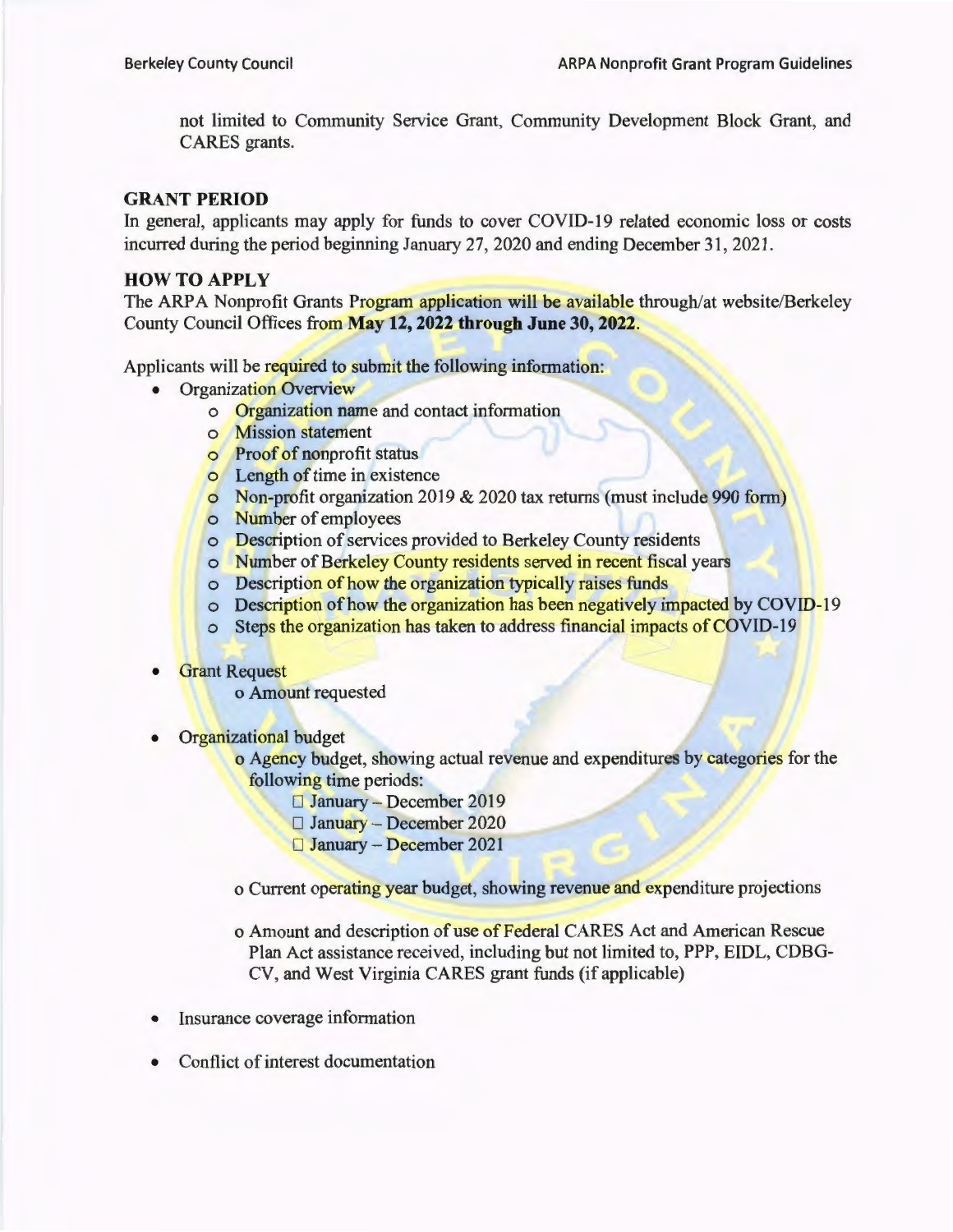not limited to Community Service Grant, Community Development Block Grant, and CARES grants.

#### **GRANT PERIOD**

In general, applicants may apply for funds to cover COVID-19 related economic loss or costs incurred during the period beginning January 27, 2020 and ending December 31 , 2021.

#### **HOW TO APPLY**

The ARPA Nonprofit Grants Program application will be available through/at website/Berkeley County Council Offices from **May 12, 2022 through June 30, 2022.** 

Applicants will be required to submit the following information:

- **Organization Overview** 
	- o Organization name and contact information
	- o Mission statement
	- o Proof of nonprofit status
	- o Length of time in existence
	- o Non-profit organization 2019 & 2020 tax returns (must include 990 form)
	- o Number of employees
	- o Description of services provided to Berkeley County residents
	- o Number of Berkeley County residents served in recent fiscal years
	- o Description of how the organization typically raises funds
	- o Description of how the organization has been negatively impacted by COVID-19
	- o Steps the organization has taken to address financial impacts of COVID-19
- **Grant Request** 
	- o Amount requested
- Organizational budget

o Agency budget, showing actual revenue and expenditures by categories for the following time periods:

- D January December 2019
- $\Box$  January December 2020
- $\square$  January December 2021

o Current operating year budget, showing revenue and expenditure projections

- o Amount and description of use of Federal CARES Act and American Rescue Plan Act assistance received, including but not limited to, PPP, EIDL, CDBG-CV, and West Virginia CARES grant funds (if applicable)
- Insurance coverage information
- Conflict of interest documentation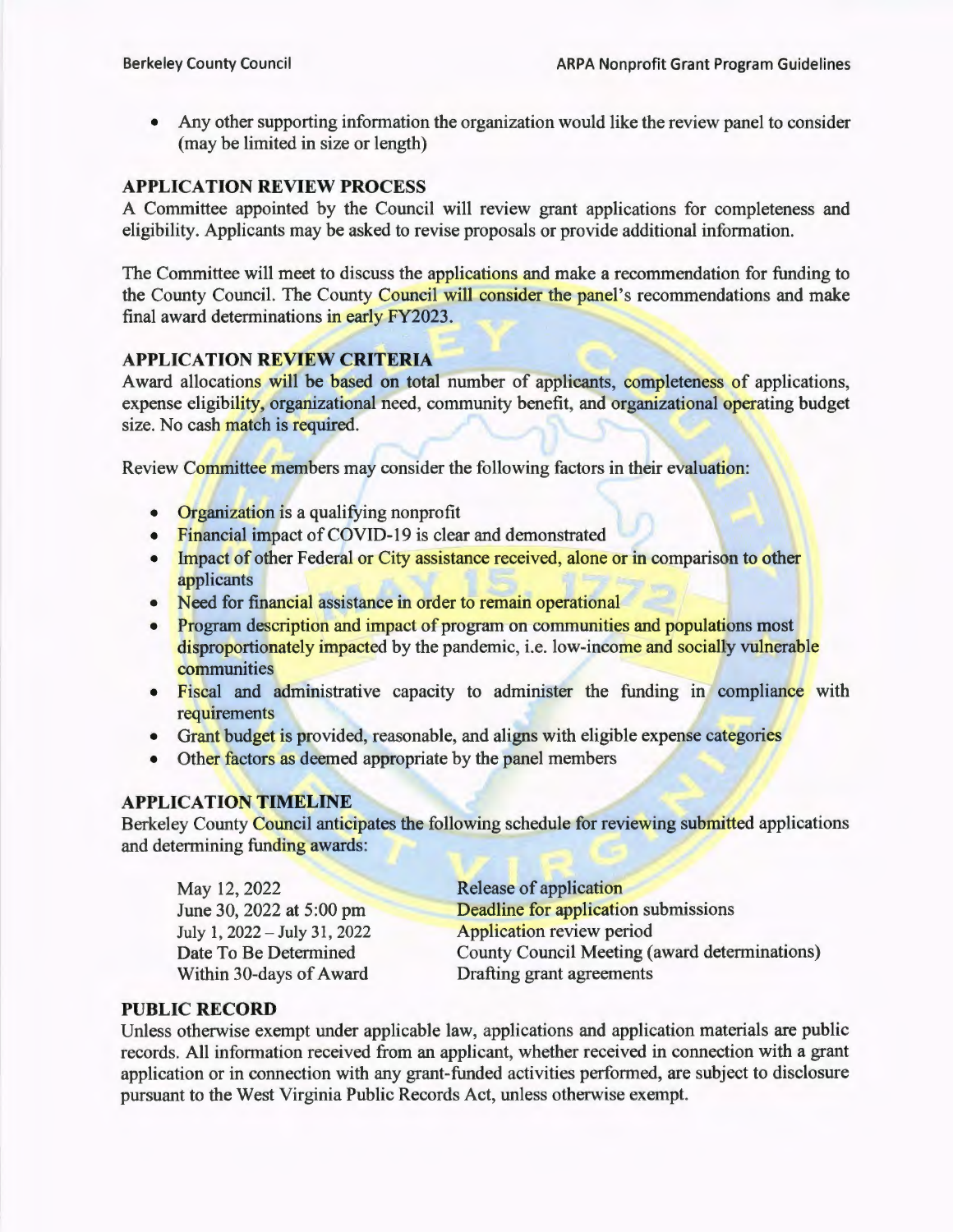• Any other supporting information the organization would like the review panel to consider (may be limited in size or length)

#### **APPLICATION REVIEW PROCESS**

A Committee appointed by the Council will review grant applications for completeness and eligibility. Applicants may be asked to revise proposals or provide additional information.

The Committee will meet to discuss the applications and make a recommendation for funding to the County Council. The County Council will consider the panel's recommendations and make final award determinations in early FY2023.

### **APPLICATION REVIEW CRITERIA**

Award allocations will be based on total number of applicants, completeness of applications, expense eligibility, organizational need, community benefit, and organizational operating budget size. No cash match is required.

Review Committee members may consider the following factors in their evaluation:

- Organization is a qualifying nonprofit
- Financial impact of COVID-19 is clear and demonstrated
- Impact of other Federal or City assistance received, alone or in comparison to other applicants
- Need for financial assistance in order to remain operational
- Program description and impact of program on communities and populations most disproportionately impacted by the pandemic, i.e. low-income and socially vulnerable communities
- Fiscal and administrative capacity to administer the funding in compliance with requirements
- Grant budget is provided, reasonable, and aligns with eligible expense categories
- Other factors as deemed appropriate by the panel members

#### **APPLICATION TIMELINE**

Berkeley County Council anticipates the following schedule for reviewing submitted applications and determining funding awards:

May 12, 2022 June 30, 2022 at 5:00 pm July 1, 2022 - July 31, 2022 Date To Be Determined Within 30-days of Award

Release of application Deadline for application submissions Application review period County Council Meeting (award determinations) Drafting grant agreements

#### **PUBLIC RECORD**

Unless otherwise exempt under applicable law, applications and application materials are public records. All information received from an applicant, whether received in connection with a grant application or in connection with any grant-funded activities performed, are subject to disclosure pursuant to the West Virginia Public Records Act, unless otherwise exempt.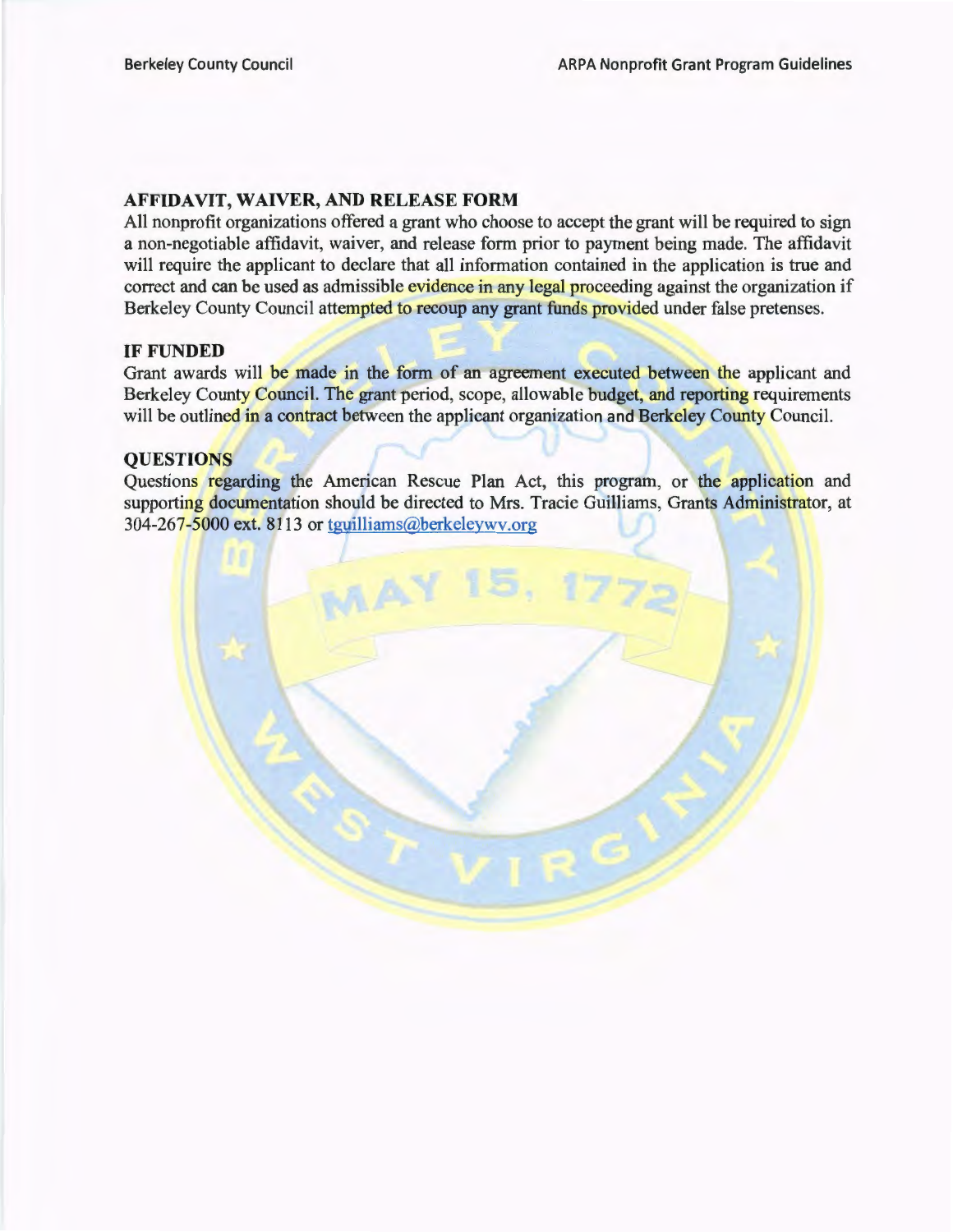#### AFFIDAVIT, WAIVER, AND RELEASE FORM

All nonprofit organizations offered a grant who choose to accept the grant will be required to sign a non-negotiable affidavit, waiver, and release form prior to payment being made. The affidavit will require the applicant to declare that all information contained in the application is true and correct and can be used as admissible evidence in any legal proceeding against the organization if Berkeley County Council attempted to recoup any grant funds provided under false pretenses.

#### IF FUNDED

Grant awards will be made in the form of an agreement executed between the applicant and Berkeley County Council. The grant period, scope, allowable budget, and reporting requirements will be outlined in a contract between the applicant organization and Berkeley County Council.

#### **OUESTIONS**

Questions regarding the American Rescue Plan Act, this program, or the application and supporting documentation should be directed to Mrs. Tracie Guilliams, Grants Administrator, at 304-267-5000 ext. 8113 or tguilliams@berkeleywv.org

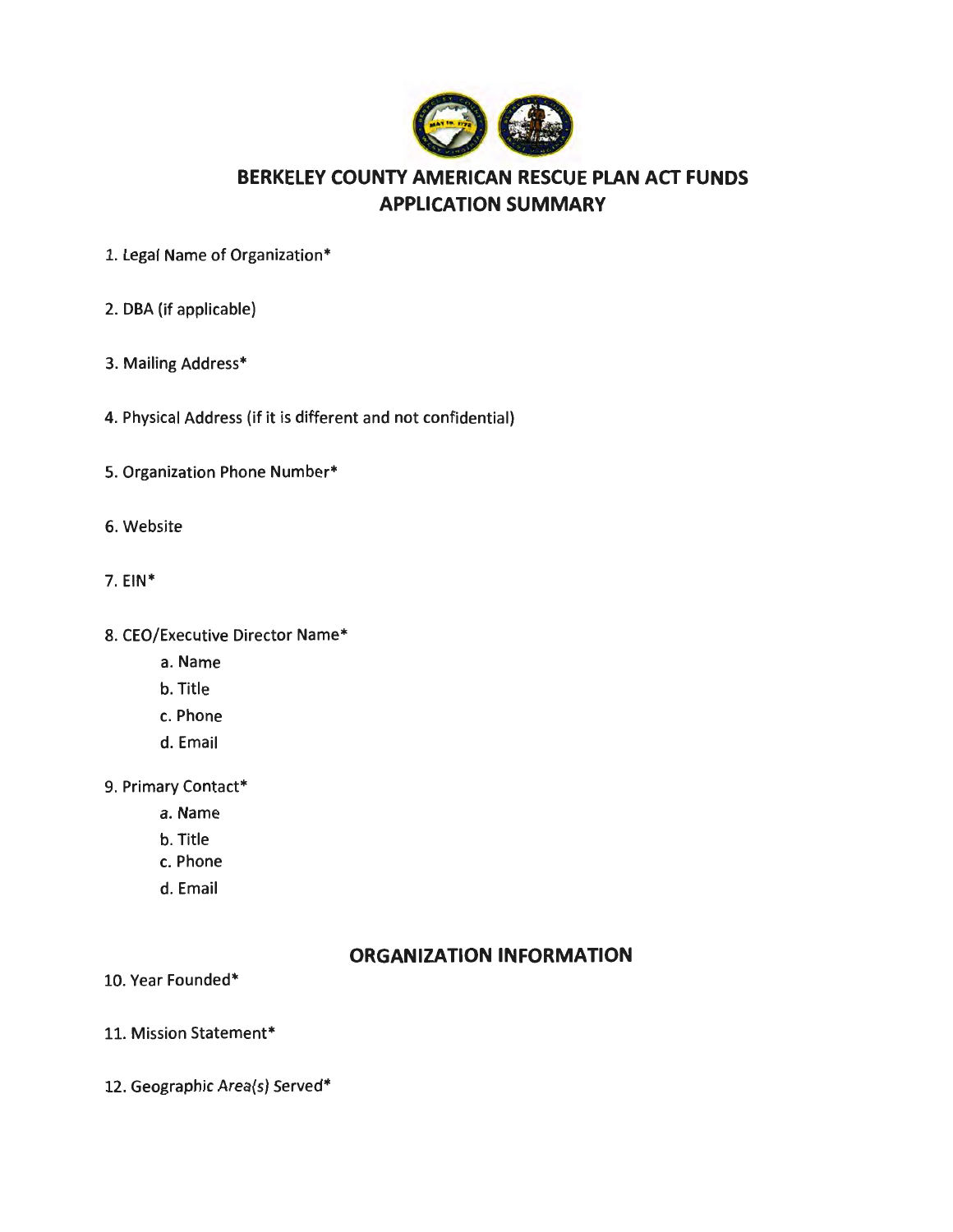

# **BERKELEY COUNTY AMERICAN RESCUE PLAN ACT FUNDS APPLICATION SUMMARY**

- 1. Legal Name of Organization\*
- 2. DBA (if applicable)
- 3. Mailing Address\*
- 4. Physical Address (if it is different and not confidential)
- 5. Organization Phone Number\*
- 6. Website
- 7. EIN\*
- 8. CEO/Executive Director Name\*
	- a. Name
	- b. Title
	- c. Phone
	- d. Email
- 9. Primary Contact\*
	- a. Name
	- b. Title
	- c. Phone
	- d. Email

### **ORGANIZATION INFORMATION**

- 10. Year Founded\*
- 11. Mission Statement\*
- 12. Geographic Area(s) Served\*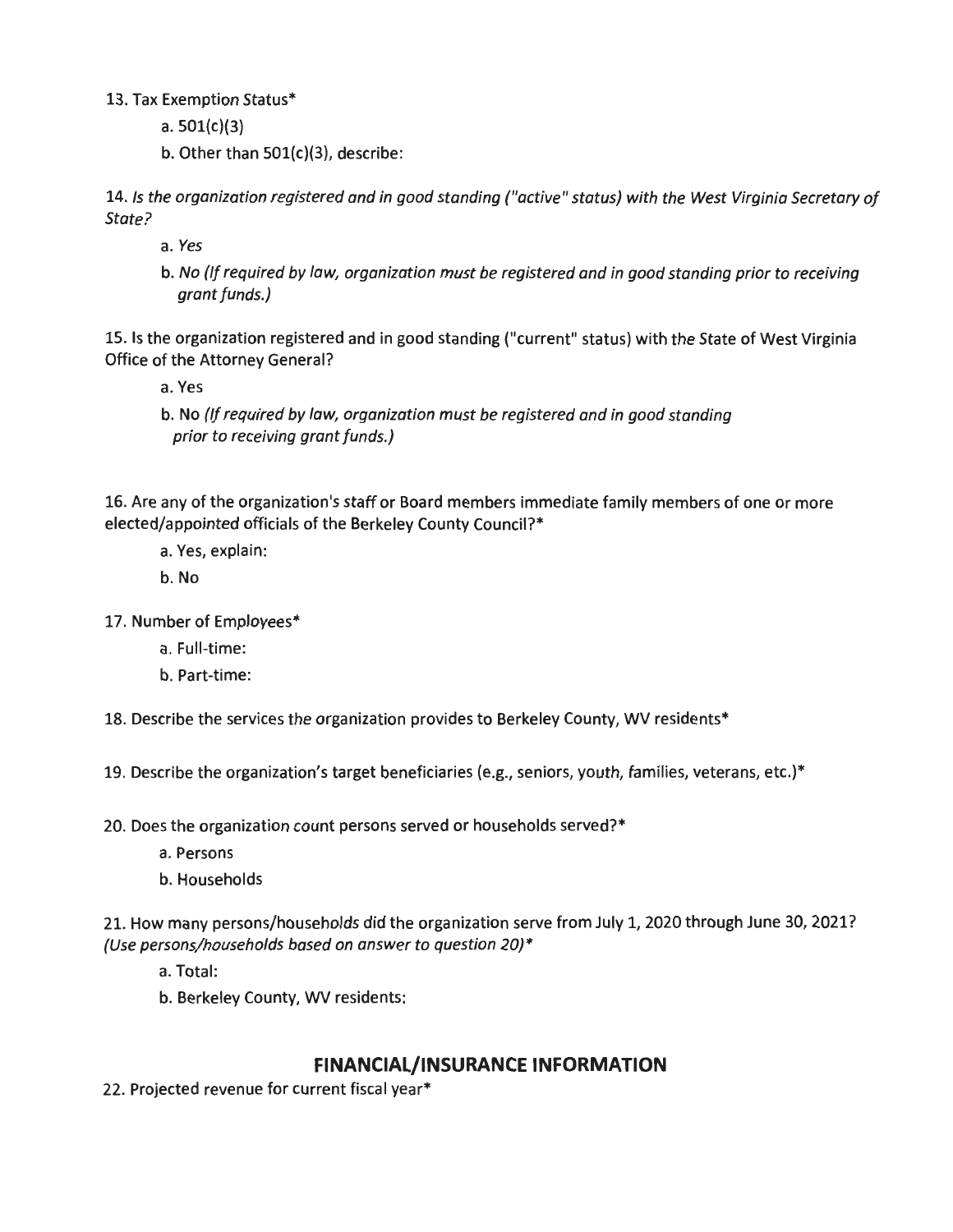13. Tax Exemption Status\*

a. 501(c)(3)

b. Other than 501(c)(3), describe:

14. Is the organization registered and in good standing ("active" status) with the West Virginia Secretary of State?

a. Yes

b. No (If required by law, organization must be registered and in good standing prior to receiving grant funds.)

15. Is the organization registered and in good standing ("current" status) with the State of West Virginia Office of the Attorney General?

a. Yes

b. No (If required by law, organization must be registered and in good standing prior to receiving grant funds.)

16. Are any of the organization's staff or Board members immediate family members of one or more elected/appointed officials of the Berkeley County Council?\*

a. Yes, explain:

b. No

17. Number of Employees\*

a. Full-time:

b. Part-time:

18. Describe the services the organization provides to Berkeley County, WV residents\*

19. Describe the organization's target beneficiaries (e.g., seniors, youth, families, veterans, etc.)\*

20. Does the organization count persons served or households served?\*

a. Persons

b. Households

21. How many persons/households did the organization serve from July 1, 2020 through June 30, 2021? (Use persons/households based on answer to question 20)\*

a. Total:

b. Berkeley County, WV residents:

# **FINANCIAL/INSURANCE INFORMATION**

22. Projected revenue for current fiscal year\*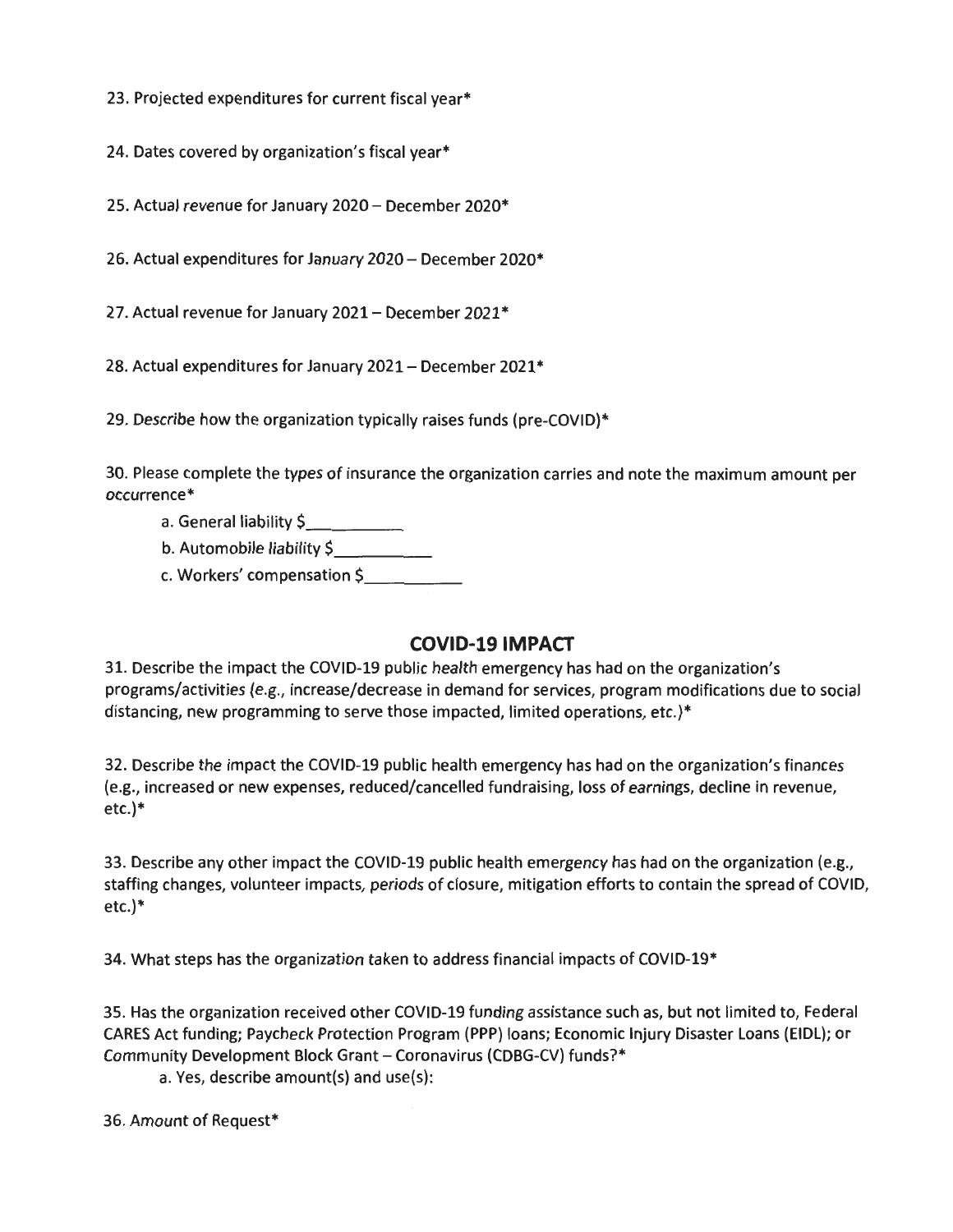23. Projected expenditures for current fiscal year\*

24. Dates covered by organization's fiscal year\*

25. Actual revenue for January 2020 - December 2020\*

26. Actual expenditures for January 2020- December 2020\*

27. Actual revenue for January 2021 - December 2021\*

28. Actual expenditures for January 2021 – December 2021\*

29. Describe how the organization typically raises funds (pre-COVID)\*

30. Please complete the types of insurance the organization carries and note the maximum amount per occurrence\*

- a. General liability \$
- b. Automobile liability \$
- c. Workers' compensation \$

# **COVID-19 IMPACT**

31. Describe the impact the COVID-19 public health emergency has had on the organization's programs/activities (e.g., increase/decrease in demand for services, program modifications due to social distancing, new programming to serve those impacted, limited operations, etc.)\*

32. Describe the impact the COVID-19 public health emergency has had on the organization's finances (e.g., increased or new expenses, reduced/cancelled fundraising, loss of earnings, decline in revenue, etc.)\*

33. Describe any other impact the COVID-19 public health emergency has had on the organization (e.g., staffing changes, volunteer impacts, periods of closure, mitigation efforts to contain the spread of COVID, etc.)\*

34. What steps has the organization taken to address financial impacts of COVID-19\*

35. Has the organization received other COVID-19 funding assistance such as, but not limited to, Federal CARES Act funding; Paycheck Protection Program (PPP) loans; Economic Injury Disaster Loans (EIDL); or Community Development Block Grant - Coronavirus (CDBG-CV) funds?\*

a. Yes, describe amount(s) and use(s):

36. Amount of Request\*